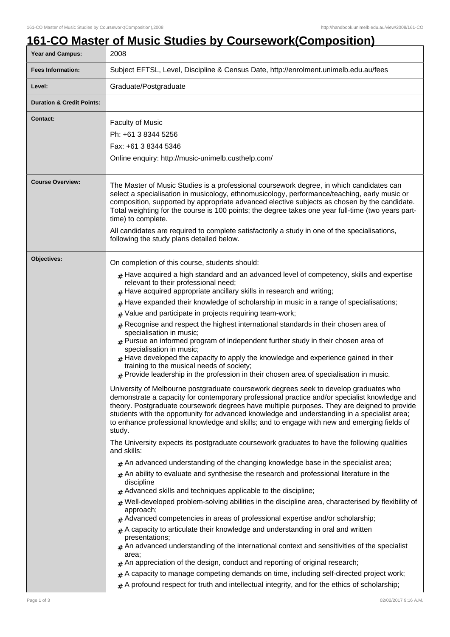## **161-CO Master of Music Studies by Coursework(Composition)**

| Year and Campus:                     | 2008                                                                                                                                                                                                                                                                                                                                                                                                                                                                                                                                                                                                                                                                                                                                                                                                                                                                                                                                                                                                                                                                                                                                                                                                                                                                                                                                                                                                                                                                                                                                                                                                                                                                                                                                                                                                                                                                                                                                                                                                                                                                                                                                                                                                                                                                                                                                                                                                                                                                                                |  |  |
|--------------------------------------|-----------------------------------------------------------------------------------------------------------------------------------------------------------------------------------------------------------------------------------------------------------------------------------------------------------------------------------------------------------------------------------------------------------------------------------------------------------------------------------------------------------------------------------------------------------------------------------------------------------------------------------------------------------------------------------------------------------------------------------------------------------------------------------------------------------------------------------------------------------------------------------------------------------------------------------------------------------------------------------------------------------------------------------------------------------------------------------------------------------------------------------------------------------------------------------------------------------------------------------------------------------------------------------------------------------------------------------------------------------------------------------------------------------------------------------------------------------------------------------------------------------------------------------------------------------------------------------------------------------------------------------------------------------------------------------------------------------------------------------------------------------------------------------------------------------------------------------------------------------------------------------------------------------------------------------------------------------------------------------------------------------------------------------------------------------------------------------------------------------------------------------------------------------------------------------------------------------------------------------------------------------------------------------------------------------------------------------------------------------------------------------------------------------------------------------------------------------------------------------------------------|--|--|
| <b>Fees Information:</b>             | Subject EFTSL, Level, Discipline & Census Date, http://enrolment.unimelb.edu.au/fees                                                                                                                                                                                                                                                                                                                                                                                                                                                                                                                                                                                                                                                                                                                                                                                                                                                                                                                                                                                                                                                                                                                                                                                                                                                                                                                                                                                                                                                                                                                                                                                                                                                                                                                                                                                                                                                                                                                                                                                                                                                                                                                                                                                                                                                                                                                                                                                                                |  |  |
| Level:                               | Graduate/Postgraduate                                                                                                                                                                                                                                                                                                                                                                                                                                                                                                                                                                                                                                                                                                                                                                                                                                                                                                                                                                                                                                                                                                                                                                                                                                                                                                                                                                                                                                                                                                                                                                                                                                                                                                                                                                                                                                                                                                                                                                                                                                                                                                                                                                                                                                                                                                                                                                                                                                                                               |  |  |
| <b>Duration &amp; Credit Points:</b> |                                                                                                                                                                                                                                                                                                                                                                                                                                                                                                                                                                                                                                                                                                                                                                                                                                                                                                                                                                                                                                                                                                                                                                                                                                                                                                                                                                                                                                                                                                                                                                                                                                                                                                                                                                                                                                                                                                                                                                                                                                                                                                                                                                                                                                                                                                                                                                                                                                                                                                     |  |  |
| <b>Contact:</b>                      | <b>Faculty of Music</b><br>Ph: +61 3 8344 5256<br>Fax: +61 3 8344 5346<br>Online enquiry: http://music-unimelb.custhelp.com/                                                                                                                                                                                                                                                                                                                                                                                                                                                                                                                                                                                                                                                                                                                                                                                                                                                                                                                                                                                                                                                                                                                                                                                                                                                                                                                                                                                                                                                                                                                                                                                                                                                                                                                                                                                                                                                                                                                                                                                                                                                                                                                                                                                                                                                                                                                                                                        |  |  |
| <b>Course Overview:</b>              | The Master of Music Studies is a professional coursework degree, in which candidates can<br>select a specialisation in musicology, ethnomusicology, performance/teaching, early music or<br>composition, supported by appropriate advanced elective subjects as chosen by the candidate.<br>Total weighting for the course is 100 points; the degree takes one year full-time (two years part-<br>time) to complete.<br>All candidates are required to complete satisfactorily a study in one of the specialisations,<br>following the study plans detailed below.                                                                                                                                                                                                                                                                                                                                                                                                                                                                                                                                                                                                                                                                                                                                                                                                                                                                                                                                                                                                                                                                                                                                                                                                                                                                                                                                                                                                                                                                                                                                                                                                                                                                                                                                                                                                                                                                                                                                  |  |  |
| Objectives:                          | On completion of this course, students should:<br>$#$ Have acquired a high standard and an advanced level of competency, skills and expertise<br>relevant to their professional need;<br>Have acquired appropriate ancillary skills in research and writing;<br>Have expanded their knowledge of scholarship in music in a range of specialisations;<br>#<br>Value and participate in projects requiring team-work;<br>Recognise and respect the highest international standards in their chosen area of<br>#<br>specialisation in music;<br>$#$ Pursue an informed program of independent further study in their chosen area of<br>specialisation in music;<br>Have developed the capacity to apply the knowledge and experience gained in their<br>#<br>training to the musical needs of society;<br>$#$ Provide leadership in the profession in their chosen area of specialisation in music.<br>University of Melbourne postgraduate coursework degrees seek to develop graduates who<br>demonstrate a capacity for contemporary professional practice and/or specialist knowledge and<br>theory. Postgraduate coursework degrees have multiple purposes. They are deigned to provide<br>students with the opportunity for advanced knowledge and understanding in a specialist area;<br>to enhance professional knowledge and skills; and to engage with new and emerging fields of<br>study.<br>The University expects its postgraduate coursework graduates to have the following qualities<br>and skills:<br>$#$ An advanced understanding of the changing knowledge base in the specialist area;<br>$#$ An ability to evaluate and synthesise the research and professional literature in the<br>discipline<br>$#$ Advanced skills and techniques applicable to the discipline;<br>$#$ Well-developed problem-solving abilities in the discipline area, characterised by flexibility of<br>approach;<br>$#$ Advanced competencies in areas of professional expertise and/or scholarship;<br>A capacity to articulate their knowledge and understanding in oral and written<br>presentations;<br>$#$ An advanced understanding of the international context and sensitivities of the specialist<br>area;<br>$#$ An appreciation of the design, conduct and reporting of original research;<br>A capacity to manage competing demands on time, including self-directed project work;<br>#<br>$#$ A profound respect for truth and intellectual integrity, and for the ethics of scholarship; |  |  |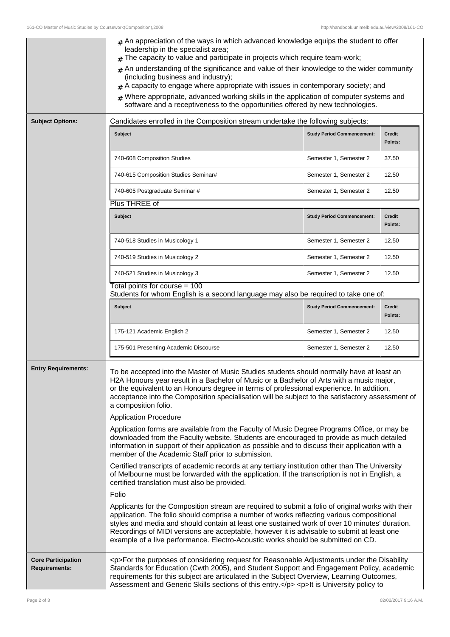|                                                   | $#$ An appreciation of the ways in which advanced knowledge equips the student to offer<br>leadership in the specialist area;<br>The capacity to value and participate in projects which require team-work;<br>An understanding of the significance and value of their knowledge to the wider community<br>(including business and industry);<br>A capacity to engage where appropriate with issues in contemporary society; and<br>Where appropriate, advanced working skills in the application of computer systems and<br>software and a receptiveness to the opportunities offered by new technologies.                                                                                                                                                                                      |                                   |                          |  |
|---------------------------------------------------|--------------------------------------------------------------------------------------------------------------------------------------------------------------------------------------------------------------------------------------------------------------------------------------------------------------------------------------------------------------------------------------------------------------------------------------------------------------------------------------------------------------------------------------------------------------------------------------------------------------------------------------------------------------------------------------------------------------------------------------------------------------------------------------------------|-----------------------------------|--------------------------|--|
| <b>Subject Options:</b>                           | Candidates enrolled in the Composition stream undertake the following subjects:                                                                                                                                                                                                                                                                                                                                                                                                                                                                                                                                                                                                                                                                                                                  |                                   |                          |  |
|                                                   | <b>Subject</b>                                                                                                                                                                                                                                                                                                                                                                                                                                                                                                                                                                                                                                                                                                                                                                                   | <b>Study Period Commencement:</b> | <b>Credit</b><br>Points: |  |
|                                                   | 740-608 Composition Studies                                                                                                                                                                                                                                                                                                                                                                                                                                                                                                                                                                                                                                                                                                                                                                      | Semester 1, Semester 2            | 37.50                    |  |
|                                                   | 740-615 Composition Studies Seminar#                                                                                                                                                                                                                                                                                                                                                                                                                                                                                                                                                                                                                                                                                                                                                             | Semester 1, Semester 2            | 12.50                    |  |
|                                                   | 740-605 Postgraduate Seminar #                                                                                                                                                                                                                                                                                                                                                                                                                                                                                                                                                                                                                                                                                                                                                                   | Semester 1, Semester 2            | 12.50                    |  |
|                                                   | Plus THREE of                                                                                                                                                                                                                                                                                                                                                                                                                                                                                                                                                                                                                                                                                                                                                                                    |                                   |                          |  |
|                                                   | <b>Subject</b>                                                                                                                                                                                                                                                                                                                                                                                                                                                                                                                                                                                                                                                                                                                                                                                   | <b>Study Period Commencement:</b> | Credit<br>Points:        |  |
|                                                   | 740-518 Studies in Musicology 1                                                                                                                                                                                                                                                                                                                                                                                                                                                                                                                                                                                                                                                                                                                                                                  | Semester 1, Semester 2            | 12.50                    |  |
|                                                   | 740-519 Studies in Musicology 2                                                                                                                                                                                                                                                                                                                                                                                                                                                                                                                                                                                                                                                                                                                                                                  | Semester 1, Semester 2            | 12.50                    |  |
|                                                   | 740-521 Studies in Musicology 3                                                                                                                                                                                                                                                                                                                                                                                                                                                                                                                                                                                                                                                                                                                                                                  | Semester 1, Semester 2            | 12.50                    |  |
|                                                   | Total points for course = 100<br>Students for whom English is a second language may also be required to take one of:                                                                                                                                                                                                                                                                                                                                                                                                                                                                                                                                                                                                                                                                             |                                   |                          |  |
|                                                   | <b>Subject</b>                                                                                                                                                                                                                                                                                                                                                                                                                                                                                                                                                                                                                                                                                                                                                                                   | <b>Study Period Commencement:</b> | <b>Credit</b><br>Points: |  |
|                                                   | 175-121 Academic English 2                                                                                                                                                                                                                                                                                                                                                                                                                                                                                                                                                                                                                                                                                                                                                                       | Semester 1, Semester 2            | 12.50                    |  |
|                                                   | 175-501 Presenting Academic Discourse                                                                                                                                                                                                                                                                                                                                                                                                                                                                                                                                                                                                                                                                                                                                                            | Semester 1, Semester 2            | 12.50                    |  |
| <b>Entry Requirements:</b>                        | To be accepted into the Master of Music Studies students should normally have at least an<br>H2A Honours year result in a Bachelor of Music or a Bachelor of Arts with a music major,<br>or the equivalent to an Honours degree in terms of professional experience. In addition,<br>acceptance into the Composition specialisation will be subject to the satisfactory assessment of<br>a composition folio.<br><b>Application Procedure</b><br>Application forms are available from the Faculty of Music Degree Programs Office, or may be<br>downloaded from the Faculty website. Students are encouraged to provide as much detailed<br>information in support of their application as possible and to discuss their application with a<br>member of the Academic Staff prior to submission. |                                   |                          |  |
|                                                   | Certified transcripts of academic records at any tertiary institution other than The University<br>of Melbourne must be forwarded with the application. If the transcription is not in English, a<br>certified translation must also be provided.                                                                                                                                                                                                                                                                                                                                                                                                                                                                                                                                                |                                   |                          |  |
|                                                   | Folio                                                                                                                                                                                                                                                                                                                                                                                                                                                                                                                                                                                                                                                                                                                                                                                            |                                   |                          |  |
|                                                   | Applicants for the Composition stream are required to submit a folio of original works with their<br>application. The folio should comprise a number of works reflecting various compositional<br>styles and media and should contain at least one sustained work of over 10 minutes' duration.<br>Recordings of MIDI versions are acceptable, however it is advisable to submit at least one<br>example of a live performance. Electro-Acoustic works should be submitted on CD.                                                                                                                                                                                                                                                                                                                |                                   |                          |  |
| <b>Core Participation</b><br><b>Requirements:</b> | <p>For the purposes of considering request for Reasonable Adjustments under the Disability<br/>Standards for Education (Cwth 2005), and Student Support and Engagement Policy, academic<br/>requirements for this subject are articulated in the Subject Overview, Learning Outcomes,<br/>Assessment and Generic Skills sections of this entry.</p> <p>lt is University policy to</p>                                                                                                                                                                                                                                                                                                                                                                                                            |                                   |                          |  |